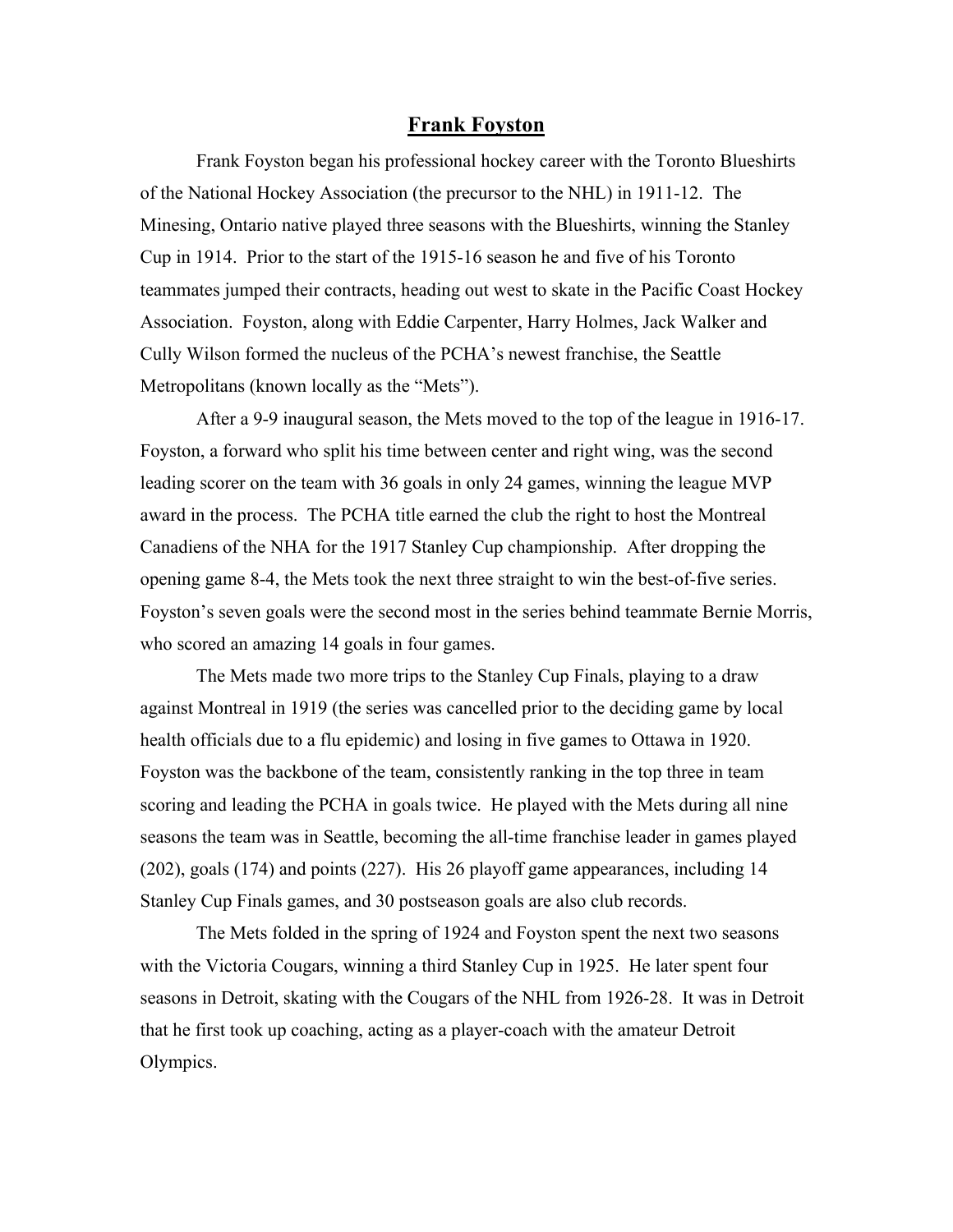## **Frank Foyston**

Frank Foyston began his professional hockey career with the Toronto Blueshirts of the National Hockey Association (the precursor to the NHL) in 1911-12. The Minesing, Ontario native played three seasons with the Blueshirts, winning the Stanley Cup in 1914. Prior to the start of the 1915-16 season he and five of his Toronto teammates jumped their contracts, heading out west to skate in the Pacific Coast Hockey Association. Foyston, along with Eddie Carpenter, Harry Holmes, Jack Walker and Cully Wilson formed the nucleus of the PCHA's newest franchise, the Seattle Metropolitans (known locally as the "Mets").

After a 9-9 inaugural season, the Mets moved to the top of the league in 1916-17. Foyston, a forward who split his time between center and right wing, was the second leading scorer on the team with 36 goals in only 24 games, winning the league MVP award in the process. The PCHA title earned the club the right to host the Montreal Canadiens of the NHA for the 1917 Stanley Cup championship. After dropping the opening game 8-4, the Mets took the next three straight to win the best-of-five series. Foyston's seven goals were the second most in the series behind teammate Bernie Morris, who scored an amazing 14 goals in four games.

The Mets made two more trips to the Stanley Cup Finals, playing to a draw against Montreal in 1919 (the series was cancelled prior to the deciding game by local health officials due to a flu epidemic) and losing in five games to Ottawa in 1920. Foyston was the backbone of the team, consistently ranking in the top three in team scoring and leading the PCHA in goals twice. He played with the Mets during all nine seasons the team was in Seattle, becoming the all-time franchise leader in games played (202), goals (174) and points (227). His 26 playoff game appearances, including 14 Stanley Cup Finals games, and 30 postseason goals are also club records.

The Mets folded in the spring of 1924 and Foyston spent the next two seasons with the Victoria Cougars, winning a third Stanley Cup in 1925. He later spent four seasons in Detroit, skating with the Cougars of the NHL from 1926-28. It was in Detroit that he first took up coaching, acting as a player-coach with the amateur Detroit Olympics.